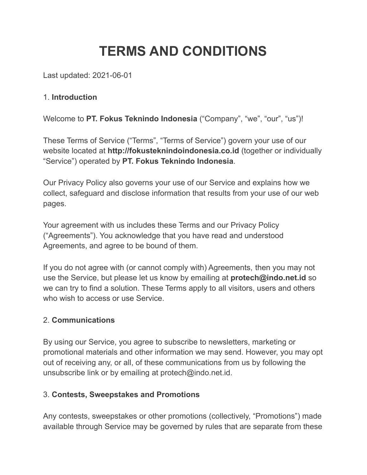# **TERMS AND CONDITIONS**

Last updated: 2021-06-01

### 1. **Introduction**

Welcome to **PT. Fokus Teknindo Indonesia** ("Company", "we", "our", "us")!

These Terms of Service ("Terms", "Terms of Service") govern your use of our website located at **http://fokusteknindoindonesia.co.id** (together or individually "Service") operated by **PT. Fokus Teknindo Indonesia**.

Our Privacy Policy also governs your use of our Service and explains how we collect, safeguard and disclose information that results from your use of our web pages.

Your agreement with us includes these Terms and our Privacy Policy ("Agreements"). You acknowledge that you have read and understood Agreements, and agree to be bound of them.

If you do not agree with (or cannot comply with) Agreements, then you may not use the Service, but please let us know by emailing at **protech@indo.net.id** so we can try to find a solution. These Terms apply to all visitors, users and others who wish to access or use Service.

### 2. **Communications**

By using our Service, you agree to subscribe to newsletters, marketing or promotional materials and other information we may send. However, you may opt out of receiving any, or all, of these communications from us by following the unsubscribe link or by emailing at protech@indo.net.id.

# 3. **Contests, Sweepstakes and Promotions**

Any contests, sweepstakes or other promotions (collectively, "Promotions") made available through Service may be governed by rules that are separate from these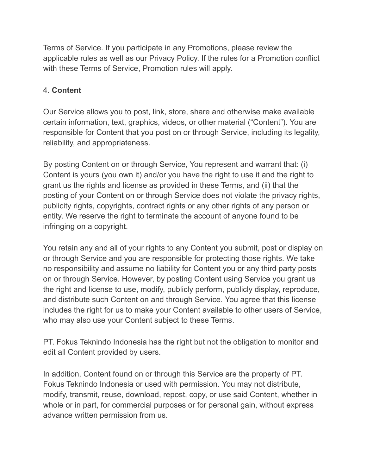Terms of Service. If you participate in any Promotions, please review the applicable rules as well as our Privacy Policy. If the rules for a Promotion conflict with these Terms of Service, Promotion rules will apply.

## 4. **Content**

Our Service allows you to post, link, store, share and otherwise make available certain information, text, graphics, videos, or other material ("Content"). You are responsible for Content that you post on or through Service, including its legality, reliability, and appropriateness.

By posting Content on or through Service, You represent and warrant that: (i) Content is yours (you own it) and/or you have the right to use it and the right to grant us the rights and license as provided in these Terms, and (ii) that the posting of your Content on or through Service does not violate the privacy rights, publicity rights, copyrights, contract rights or any other rights of any person or entity. We reserve the right to terminate the account of anyone found to be infringing on a copyright.

You retain any and all of your rights to any Content you submit, post or display on or through Service and you are responsible for protecting those rights. We take no responsibility and assume no liability for Content you or any third party posts on or through Service. However, by posting Content using Service you grant us the right and license to use, modify, publicly perform, publicly display, reproduce, and distribute such Content on and through Service. You agree that this license includes the right for us to make your Content available to other users of Service, who may also use your Content subject to these Terms.

PT. Fokus Teknindo Indonesia has the right but not the obligation to monitor and edit all Content provided by users.

In addition, Content found on or through this Service are the property of PT. Fokus Teknindo Indonesia or used with permission. You may not distribute, modify, transmit, reuse, download, repost, copy, or use said Content, whether in whole or in part, for commercial purposes or for personal gain, without express advance written permission from us.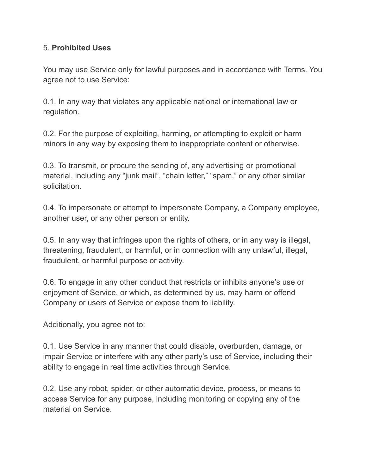#### 5. **Prohibited Uses**

You may use Service only for lawful purposes and in accordance with Terms. You agree not to use Service:

0.1. In any way that violates any applicable national or international law or regulation.

0.2. For the purpose of exploiting, harming, or attempting to exploit or harm minors in any way by exposing them to inappropriate content or otherwise.

0.3. To transmit, or procure the sending of, any advertising or promotional material, including any "junk mail", "chain letter," "spam," or any other similar solicitation.

0.4. To impersonate or attempt to impersonate Company, a Company employee, another user, or any other person or entity.

0.5. In any way that infringes upon the rights of others, or in any way is illegal, threatening, fraudulent, or harmful, or in connection with any unlawful, illegal, fraudulent, or harmful purpose or activity.

0.6. To engage in any other conduct that restricts or inhibits anyone's use or enjoyment of Service, or which, as determined by us, may harm or offend Company or users of Service or expose them to liability.

Additionally, you agree not to:

0.1. Use Service in any manner that could disable, overburden, damage, or impair Service or interfere with any other party's use of Service, including their ability to engage in real time activities through Service.

0.2. Use any robot, spider, or other automatic device, process, or means to access Service for any purpose, including monitoring or copying any of the material on Service.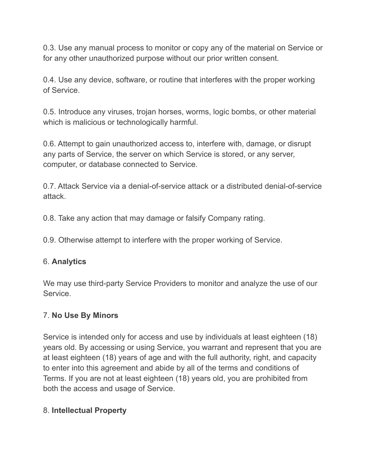0.3. Use any manual process to monitor or copy any of the material on Service or for any other unauthorized purpose without our prior written consent.

0.4. Use any device, software, or routine that interferes with the proper working of Service.

0.5. Introduce any viruses, trojan horses, worms, logic bombs, or other material which is malicious or technologically harmful.

0.6. Attempt to gain unauthorized access to, interfere with, damage, or disrupt any parts of Service, the server on which Service is stored, or any server, computer, or database connected to Service.

0.7. Attack Service via a denial-of-service attack or a distributed denial-of-service attack.

0.8. Take any action that may damage or falsify Company rating.

0.9. Otherwise attempt to interfere with the proper working of Service.

### 6. **Analytics**

We may use third-party Service Providers to monitor and analyze the use of our Service.

#### 7. **No Use By Minors**

Service is intended only for access and use by individuals at least eighteen (18) years old. By accessing or using Service, you warrant and represent that you are at least eighteen (18) years of age and with the full authority, right, and capacity to enter into this agreement and abide by all of the terms and conditions of Terms. If you are not at least eighteen (18) years old, you are prohibited from both the access and usage of Service.

### 8. **Intellectual Property**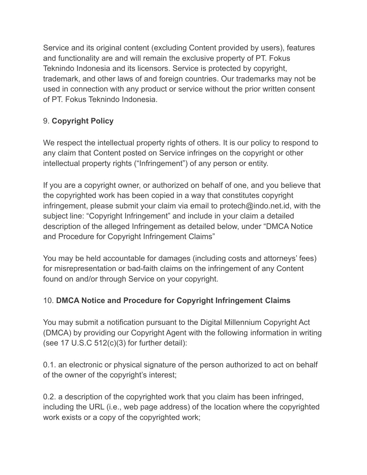Service and its original content (excluding Content provided by users), features and functionality are and will remain the exclusive property of PT. Fokus Teknindo Indonesia and its licensors. Service is protected by copyright, trademark, and other laws of and foreign countries. Our trademarks may not be used in connection with any product or service without the prior written consent of PT. Fokus Teknindo Indonesia.

# 9. **Copyright Policy**

We respect the intellectual property rights of others. It is our policy to respond to any claim that Content posted on Service infringes on the copyright or other intellectual property rights ("Infringement") of any person or entity.

If you are a copyright owner, or authorized on behalf of one, and you believe that the copyrighted work has been copied in a way that constitutes copyright infringement, please submit your claim via email to protech@indo.net.id, with the subject line: "Copyright Infringement" and include in your claim a detailed description of the alleged Infringement as detailed below, under "DMCA Notice and Procedure for Copyright Infringement Claims"

You may be held accountable for damages (including costs and attorneys' fees) for misrepresentation or bad-faith claims on the infringement of any Content found on and/or through Service on your copyright.

# 10. **DMCA Notice and Procedure for Copyright Infringement Claims**

You may submit a notification pursuant to the Digital Millennium Copyright Act (DMCA) by providing our Copyright Agent with the following information in writing (see 17 U.S.C  $512(c)(3)$  for further detail):

0.1. an electronic or physical signature of the person authorized to act on behalf of the owner of the copyright's interest;

0.2. a description of the copyrighted work that you claim has been infringed, including the URL (i.e., web page address) of the location where the copyrighted work exists or a copy of the copyrighted work;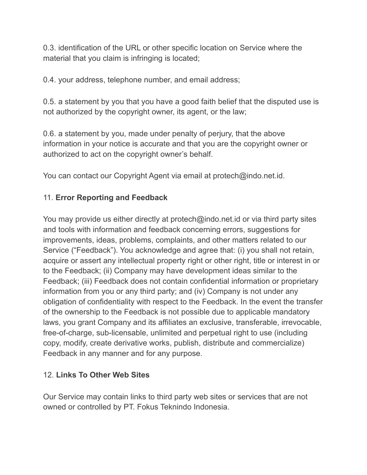0.3. identification of the URL or other specific location on Service where the material that you claim is infringing is located;

0.4. your address, telephone number, and email address;

0.5. a statement by you that you have a good faith belief that the disputed use is not authorized by the copyright owner, its agent, or the law;

0.6. a statement by you, made under penalty of perjury, that the above information in your notice is accurate and that you are the copyright owner or authorized to act on the copyright owner's behalf.

You can contact our Copyright Agent via email at protech@indo.net.id.

### 11. **Error Reporting and Feedback**

You may provide us either directly at protech@indo.net.id or via third party sites and tools with information and feedback concerning errors, suggestions for improvements, ideas, problems, complaints, and other matters related to our Service ("Feedback"). You acknowledge and agree that: (i) you shall not retain, acquire or assert any intellectual property right or other right, title or interest in or to the Feedback; (ii) Company may have development ideas similar to the Feedback; (iii) Feedback does not contain confidential information or proprietary information from you or any third party; and (iv) Company is not under any obligation of confidentiality with respect to the Feedback. In the event the transfer of the ownership to the Feedback is not possible due to applicable mandatory laws, you grant Company and its affiliates an exclusive, transferable, irrevocable, free-of-charge, sub-licensable, unlimited and perpetual right to use (including copy, modify, create derivative works, publish, distribute and commercialize) Feedback in any manner and for any purpose.

### 12. **Links To Other Web Sites**

Our Service may contain links to third party web sites or services that are not owned or controlled by PT. Fokus Teknindo Indonesia.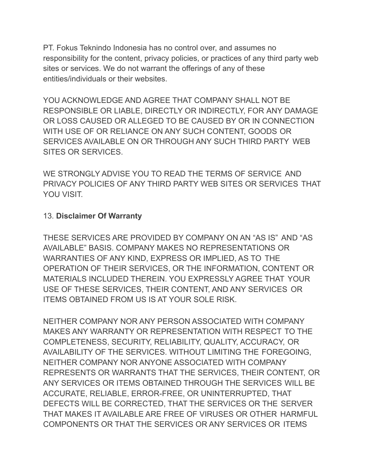PT. Fokus Teknindo Indonesia has no control over, and assumes no responsibility for the content, privacy policies, or practices of any third party web sites or services. We do not warrant the offerings of any of these entities/individuals or their websites.

YOU ACKNOWLEDGE AND AGREE THAT COMPANY SHALL NOT BE RESPONSIBLE OR LIABLE, DIRECTLY OR INDIRECTLY, FOR ANY DAMAGE OR LOSS CAUSED OR ALLEGED TO BE CAUSED BY OR IN CONNECTION WITH USE OF OR RELIANCE ON ANY SUCH CONTENT, GOODS OR SERVICES AVAILABLE ON OR THROUGH ANY SUCH THIRD PARTY WEB SITES OR SERVICES.

WE STRONGLY ADVISE YOU TO READ THE TERMS OF SERVICE AND PRIVACY POLICIES OF ANY THIRD PARTY WEB SITES OR SERVICES THAT YOU VISIT.

### 13. **Disclaimer Of Warranty**

THESE SERVICES ARE PROVIDED BY COMPANY ON AN "AS IS" AND "AS AVAILABLE" BASIS. COMPANY MAKES NO REPRESENTATIONS OR WARRANTIES OF ANY KIND, EXPRESS OR IMPLIED, AS TO THE OPERATION OF THEIR SERVICES, OR THE INFORMATION, CONTENT OR MATERIALS INCLUDED THEREIN. YOU EXPRESSLY AGREE THAT YOUR USE OF THESE SERVICES, THEIR CONTENT, AND ANY SERVICES OR ITEMS OBTAINED FROM US IS AT YOUR SOLE RISK.

NEITHER COMPANY NOR ANY PERSON ASSOCIATED WITH COMPANY MAKES ANY WARRANTY OR REPRESENTATION WITH RESPECT TO THE COMPLETENESS, SECURITY, RELIABILITY, QUALITY, ACCURACY, OR AVAILABILITY OF THE SERVICES. WITHOUT LIMITING THE FOREGOING, NEITHER COMPANY NOR ANYONE ASSOCIATED WITH COMPANY REPRESENTS OR WARRANTS THAT THE SERVICES, THEIR CONTENT, OR ANY SERVICES OR ITEMS OBTAINED THROUGH THE SERVICES WILL BE ACCURATE, RELIABLE, ERROR-FREE, OR UNINTERRUPTED, THAT DEFECTS WILL BE CORRECTED, THAT THE SERVICES OR THE SERVER THAT MAKES IT AVAILABLE ARE FREE OF VIRUSES OR OTHER HARMFUL COMPONENTS OR THAT THE SERVICES OR ANY SERVICES OR ITEMS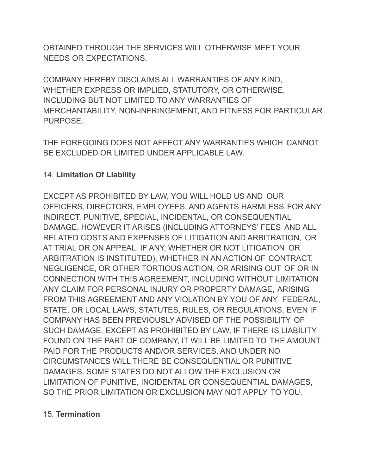OBTAINED THROUGH THE SERVICES WILL OTHERWISE MEET YOUR NEEDS OR EXPECTATIONS.

COMPANY HEREBY DISCLAIMS ALL WARRANTIES OF ANY KIND, WHETHER EXPRESS OR IMPLIED, STATUTORY, OR OTHERWISE, INCLUDING BUT NOT LIMITED TO ANY WARRANTIES OF MERCHANTABILITY, NON-INFRINGEMENT, AND FITNESS FOR PARTICULAR PURPOSE.

THE FOREGOING DOES NOT AFFECT ANY WARRANTIES WHICH CANNOT BE EXCLUDED OR LIMITED UNDER APPLICABLE LAW.

## 14. **Limitation Of Liability**

EXCEPT AS PROHIBITED BY LAW, YOU WILL HOLD US AND OUR OFFICERS, DIRECTORS, EMPLOYEES, AND AGENTS HARMLESS FOR ANY INDIRECT, PUNITIVE, SPECIAL, INCIDENTAL, OR CONSEQUENTIAL DAMAGE, HOWEVER IT ARISES (INCLUDING ATTORNEYS' FEES AND ALL RELATED COSTS AND EXPENSES OF LITIGATION AND ARBITRATION, OR AT TRIAL OR ON APPEAL, IF ANY, WHETHER OR NOT LITIGATION OR ARBITRATION IS INSTITUTED), WHETHER IN AN ACTION OF CONTRACT, NEGLIGENCE, OR OTHER TORTIOUS ACTION, OR ARISING OUT OF OR IN CONNECTION WITH THIS AGREEMENT, INCLUDING WITHOUT LIMITATION ANY CLAIM FOR PERSONAL INJURY OR PROPERTY DAMAGE, ARISING FROM THIS AGREEMENT AND ANY VIOLATION BY YOU OF ANY FEDERAL, STATE, OR LOCAL LAWS, STATUTES, RULES, OR REGULATIONS, EVEN IF COMPANY HAS BEEN PREVIOUSLY ADVISED OF THE POSSIBILITY OF SUCH DAMAGE. EXCEPT AS PROHIBITED BY LAW, IF THERE IS LIABILITY FOUND ON THE PART OF COMPANY, IT WILL BE LIMITED TO THE AMOUNT PAID FOR THE PRODUCTS AND/OR SERVICES, AND UNDER NO CIRCUMSTANCES WILL THERE BE CONSEQUENTIAL OR PUNITIVE DAMAGES. SOME STATES DO NOT ALLOW THE EXCLUSION OR LIMITATION OF PUNITIVE, INCIDENTAL OR CONSEQUENTIAL DAMAGES, SO THE PRIOR LIMITATION OR EXCLUSION MAY NOT APPLY TO YOU.

### 15. **Termination**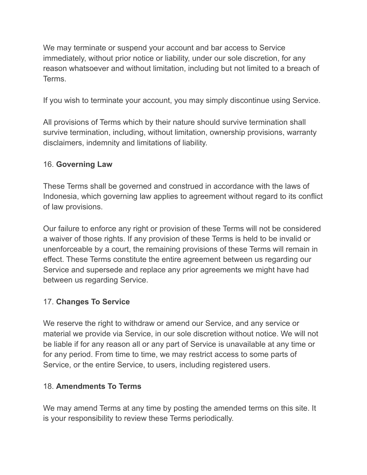We may terminate or suspend your account and bar access to Service immediately, without prior notice or liability, under our sole discretion, for any reason whatsoever and without limitation, including but not limited to a breach of Terms.

If you wish to terminate your account, you may simply discontinue using Service.

All provisions of Terms which by their nature should survive termination shall survive termination, including, without limitation, ownership provisions, warranty disclaimers, indemnity and limitations of liability.

# 16. **Governing Law**

These Terms shall be governed and construed in accordance with the laws of Indonesia, which governing law applies to agreement without regard to its conflict of law provisions.

Our failure to enforce any right or provision of these Terms will not be considered a waiver of those rights. If any provision of these Terms is held to be invalid or unenforceable by a court, the remaining provisions of these Terms will remain in effect. These Terms constitute the entire agreement between us regarding our Service and supersede and replace any prior agreements we might have had between us regarding Service.

# 17. **Changes To Service**

We reserve the right to withdraw or amend our Service, and any service or material we provide via Service, in our sole discretion without notice. We will not be liable if for any reason all or any part of Service is unavailable at any time or for any period. From time to time, we may restrict access to some parts of Service, or the entire Service, to users, including registered users.

# 18. **Amendments To Terms**

We may amend Terms at any time by posting the amended terms on this site. It is your responsibility to review these Terms periodically.